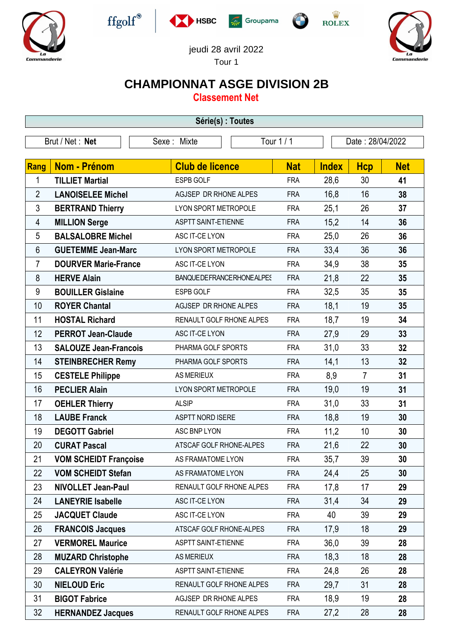











Tour 1

## **CHAMPIONNAT ASGE DIVISION 2B**

**Classement Net**

| Série(s) : Toutes |                              |                           |                            |                  |            |              |                |            |
|-------------------|------------------------------|---------------------------|----------------------------|------------------|------------|--------------|----------------|------------|
| Brut / Net: Net   |                              | Tour $1/1$<br>Sexe: Mixte |                            | Date: 28/04/2022 |            |              |                |            |
|                   |                              |                           |                            |                  |            |              |                |            |
| Rang              | Nom - Prénom                 |                           | <b>Club de licence</b>     |                  | <b>Nat</b> | <b>Index</b> | <b>Hcp</b>     | <b>Net</b> |
| 1                 | <b>TILLIET Martial</b>       |                           | <b>ESPB GOLF</b>           |                  | <b>FRA</b> | 28,6         | 30             | 41         |
| $\overline{2}$    | <b>LANOISELEE Michel</b>     |                           | AGJSEP DR RHONE ALPES      |                  | <b>FRA</b> | 16,8         | 16             | 38         |
| 3                 | <b>BERTRAND Thierry</b>      |                           | LYON SPORT METROPOLE       |                  | <b>FRA</b> | 25,1         | 26             | 37         |
| 4                 | <b>MILLION Serge</b>         |                           | <b>ASPTT SAINT-ETIENNE</b> |                  | <b>FRA</b> | 15,2         | 14             | 36         |
| 5                 | <b>BALSALOBRE Michel</b>     |                           | ASC IT-CE LYON             |                  | <b>FRA</b> | 25,0         | 26             | 36         |
| 6                 | <b>GUETEMME Jean-Marc</b>    |                           | LYON SPORT METROPOLE       |                  | <b>FRA</b> | 33,4         | 36             | 36         |
| 7                 | <b>DOURVER Marie-France</b>  |                           | ASC IT-CE LYON             |                  | <b>FRA</b> | 34,9         | 38             | 35         |
| 8                 | <b>HERVE Alain</b>           |                           | BANQUEDEFRANCERHONEALPES   |                  | <b>FRA</b> | 21,8         | 22             | 35         |
| 9                 | <b>BOUILLER Gislaine</b>     |                           | <b>ESPB GOLF</b>           |                  | <b>FRA</b> | 32,5         | 35             | 35         |
| 10                | <b>ROYER Chantal</b>         |                           | AGJSEP DR RHONE ALPES      |                  | <b>FRA</b> | 18,1         | 19             | 35         |
| 11                | <b>HOSTAL Richard</b>        |                           | RENAULT GOLF RHONE ALPES   |                  | <b>FRA</b> | 18,7         | 19             | 34         |
| 12                | <b>PERROT Jean-Claude</b>    |                           | ASC IT-CE LYON             |                  | <b>FRA</b> | 27,9         | 29             | 33         |
| 13                | <b>SALOUZE Jean-Francois</b> |                           | PHARMA GOLF SPORTS         |                  | <b>FRA</b> | 31,0         | 33             | 32         |
| 14                | <b>STEINBRECHER Remy</b>     |                           | PHARMA GOLF SPORTS         |                  | <b>FRA</b> | 14,1         | 13             | 32         |
| 15                | <b>CESTELE Philippe</b>      |                           | <b>AS MERIEUX</b>          |                  | <b>FRA</b> | 8,9          | $\overline{7}$ | 31         |
| 16                | <b>PECLIER Alain</b>         |                           | LYON SPORT METROPOLE       |                  | <b>FRA</b> | 19,0         | 19             | 31         |
| 17                | <b>OEHLER Thierry</b>        |                           | <b>ALSIP</b>               |                  | <b>FRA</b> | 31,0         | 33             | 31         |
| 18                | <b>LAUBE Franck</b>          |                           | <b>ASPTT NORD ISERE</b>    |                  | <b>FRA</b> | 18,8         | 19             | 30         |
| 19                | <b>DEGOTT Gabriel</b>        |                           | ASC BNP LYON               |                  | <b>FRA</b> | 11,2         | 10             | 30         |
| 20                | <b>CURAT Pascal</b>          |                           | ATSCAF GOLF RHONE-ALPES    |                  | <b>FRA</b> | 21,6         | 22             | 30         |
| 21                | <b>VOM SCHEIDT Françoise</b> |                           | AS FRAMATOME LYON          |                  | <b>FRA</b> | 35,7         | 39             | 30         |
| 22                | <b>VOM SCHEIDT Stefan</b>    |                           | AS FRAMATOME LYON          |                  | <b>FRA</b> | 24,4         | 25             | 30         |
| 23                | <b>NIVOLLET Jean-Paul</b>    |                           | RENAULT GOLF RHONE ALPES   |                  | <b>FRA</b> | 17,8         | 17             | 29         |
| 24                | <b>LANEYRIE Isabelle</b>     |                           | ASC IT-CE LYON             |                  | <b>FRA</b> | 31,4         | 34             | 29         |
| 25                | <b>JACQUET Claude</b>        |                           | ASC IT-CE LYON             |                  | <b>FRA</b> | 40           | 39             | 29         |
| 26                | <b>FRANCOIS Jacques</b>      |                           | ATSCAF GOLF RHONE-ALPES    |                  | <b>FRA</b> | 17,9         | 18             | 29         |
| 27                | <b>VERMOREL Maurice</b>      |                           | <b>ASPTT SAINT-ETIENNE</b> |                  | <b>FRA</b> | 36,0         | 39             | 28         |
| 28                | <b>MUZARD Christophe</b>     |                           | <b>AS MERIEUX</b>          |                  | <b>FRA</b> | 18,3         | 18             | 28         |
| 29                | <b>CALEYRON Valérie</b>      |                           | <b>ASPTT SAINT-ETIENNE</b> |                  | <b>FRA</b> | 24,8         | 26             | 28         |
| 30                | <b>NIELOUD Eric</b>          |                           | RENAULT GOLF RHONE ALPES   |                  | <b>FRA</b> | 29,7         | 31             | 28         |
| 31                | <b>BIGOT Fabrice</b>         |                           | AGJSEP DR RHONE ALPES      |                  | <b>FRA</b> | 18,9         | 19             | 28         |
| 32                | <b>HERNANDEZ Jacques</b>     |                           | RENAULT GOLF RHONE ALPES   |                  | <b>FRA</b> | 27,2         | 28             | 28         |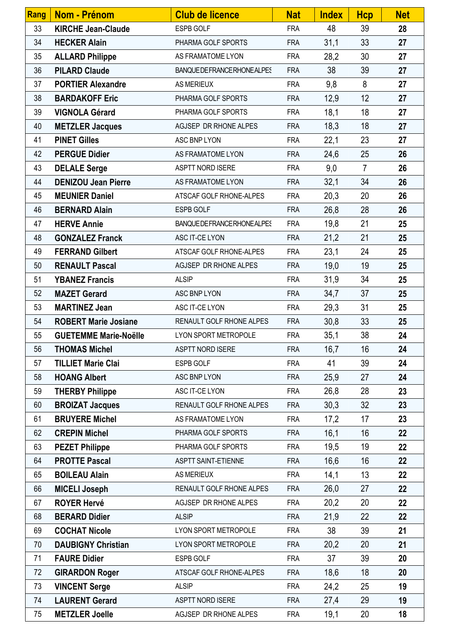| Rang | Nom - Prénom                 | <b>Club de licence</b>     | <b>Nat</b> | <b>Index</b> | <b>Hcp</b>     | <b>Net</b> |
|------|------------------------------|----------------------------|------------|--------------|----------------|------------|
| 33   | <b>KIRCHE Jean-Claude</b>    | <b>ESPB GOLF</b>           | <b>FRA</b> | 48           | 39             | 28         |
| 34   | <b>HECKER Alain</b>          | PHARMA GOLF SPORTS         | <b>FRA</b> | 31,1         | 33             | 27         |
| 35   | <b>ALLARD Philippe</b>       | AS FRAMATOME LYON          | <b>FRA</b> | 28,2         | 30             | 27         |
| 36   | <b>PILARD Claude</b>         | BANQUEDEFRANCERHONEALPES   | <b>FRA</b> | 38           | 39             | 27         |
| 37   | <b>PORTIER Alexandre</b>     | <b>AS MERIEUX</b>          | <b>FRA</b> | 9,8          | 8              | 27         |
| 38   | <b>BARDAKOFF Eric</b>        | PHARMA GOLF SPORTS         | <b>FRA</b> | 12,9         | 12             | 27         |
| 39   | <b>VIGNOLA Gérard</b>        | PHARMA GOLF SPORTS         | <b>FRA</b> | 18,1         | 18             | 27         |
| 40   | <b>METZLER Jacques</b>       | AGJSEP DR RHONE ALPES      | <b>FRA</b> | 18,3         | 18             | 27         |
| 41   | <b>PINET Gilles</b>          | ASC BNP LYON               | <b>FRA</b> | 22,1         | 23             | 27         |
| 42   | <b>PERGUE Didier</b>         | AS FRAMATOME LYON          | <b>FRA</b> | 24,6         | 25             | 26         |
| 43   | <b>DELALE Serge</b>          | ASPTT NORD ISERE           | <b>FRA</b> | 9,0          | $\overline{7}$ | 26         |
| 44   | <b>DENIZOU Jean Pierre</b>   | AS FRAMATOME LYON          | <b>FRA</b> | 32,1         | 34             | 26         |
| 45   | <b>MEUNIER Daniel</b>        | ATSCAF GOLF RHONE-ALPES    | <b>FRA</b> | 20,3         | 20             | 26         |
| 46   | <b>BERNARD Alain</b>         | ESPB GOLF                  | <b>FRA</b> | 26,8         | 28             | 26         |
| 47   | <b>HERVE Annie</b>           | BANQUEDEFRANCERHONEALPES   | <b>FRA</b> | 19,8         | 21             | 25         |
| 48   | <b>GONZALEZ Franck</b>       | ASC IT-CE LYON             | <b>FRA</b> | 21,2         | 21             | 25         |
| 49   | <b>FERRAND Gilbert</b>       | ATSCAF GOLF RHONE-ALPES    | <b>FRA</b> | 23,1         | 24             | 25         |
| 50   | <b>RENAULT Pascal</b>        | AGJSEP DR RHONE ALPES      | <b>FRA</b> | 19,0         | 19             | 25         |
| 51   | <b>YBANEZ Francis</b>        | <b>ALSIP</b>               | <b>FRA</b> | 31,9         | 34             | 25         |
| 52   | <b>MAZET Gerard</b>          | ASC BNP LYON               | <b>FRA</b> | 34,7         | 37             | 25         |
| 53   | <b>MARTINEZ Jean</b>         | ASC IT-CE LYON             | <b>FRA</b> | 29,3         | 31             | 25         |
| 54   | <b>ROBERT Marie Josiane</b>  | RENAULT GOLF RHONE ALPES   | <b>FRA</b> | 30,8         | 33             | 25         |
| 55   | <b>GUETEMME Marie-Noëlle</b> | LYON SPORT METROPOLE       | <b>FRA</b> | 35,1         | 38             | 24         |
| 56   | <b>THOMAS Michel</b>         | <b>ASPTT NORD ISERE</b>    | <b>FRA</b> | 16,7         | 16             | 24         |
| 57   | <b>TILLIET Marie Clai</b>    | ESPB GOLF                  | <b>FRA</b> | 41           | 39             | 24         |
| 58   | <b>HOANG Albert</b>          | ASC BNP LYON               | <b>FRA</b> | 25,9         | 27             | 24         |
| 59   | <b>THERBY Philippe</b>       | ASC IT-CE LYON             | <b>FRA</b> | 26,8         | 28             | 23         |
| 60   | <b>BROIZAT Jacques</b>       | RENAULT GOLF RHONE ALPES   | <b>FRA</b> | 30,3         | 32             | 23         |
| 61   | <b>BRUYERE Michel</b>        | AS FRAMATOME LYON          | <b>FRA</b> | 17,2         | 17             | 23         |
| 62   | <b>CREPIN Michel</b>         | PHARMA GOLF SPORTS         | <b>FRA</b> | 16,1         | 16             | 22         |
| 63   | <b>PEZET Philippe</b>        | PHARMA GOLF SPORTS         | <b>FRA</b> | 19,5         | 19             | 22         |
| 64   | <b>PROTTE Pascal</b>         | <b>ASPTT SAINT-ETIENNE</b> | <b>FRA</b> | 16,6         | 16             | 22         |
| 65   | <b>BOILEAU Alain</b>         | <b>AS MERIEUX</b>          | <b>FRA</b> | 14,1         | 13             | 22         |
| 66   | <b>MICELI Joseph</b>         | RENAULT GOLF RHONE ALPES   | <b>FRA</b> | 26,0         | 27             | 22         |
| 67   | <b>ROYER Hervé</b>           | AGJSEP DR RHONE ALPES      | <b>FRA</b> | 20,2         | 20             | 22         |
| 68   | <b>BERARD Didier</b>         | <b>ALSIP</b>               | <b>FRA</b> | 21,9         | 22             | 22         |
| 69   | <b>COCHAT Nicole</b>         | LYON SPORT METROPOLE       | <b>FRA</b> | 38           | 39             | 21         |
| 70   | <b>DAUBIGNY Christian</b>    | LYON SPORT METROPOLE       | <b>FRA</b> | 20,2         | 20             | 21         |
| 71   | <b>FAURE Didier</b>          | ESPB GOLF                  | <b>FRA</b> | 37           | 39             | 20         |
| 72   | <b>GIRARDON Roger</b>        | ATSCAF GOLF RHONE-ALPES    | <b>FRA</b> | 18,6         | 18             | 20         |
| 73   | <b>VINCENT Serge</b>         | <b>ALSIP</b>               | <b>FRA</b> | 24,2         | 25             | 19         |
| 74   | <b>LAURENT Gerard</b>        | <b>ASPTT NORD ISERE</b>    | <b>FRA</b> | 27,4         | 29             | 19         |
| 75   | <b>METZLER Joelle</b>        | AGJSEP DR RHONE ALPES      | <b>FRA</b> | 19,1         | 20             | 18         |